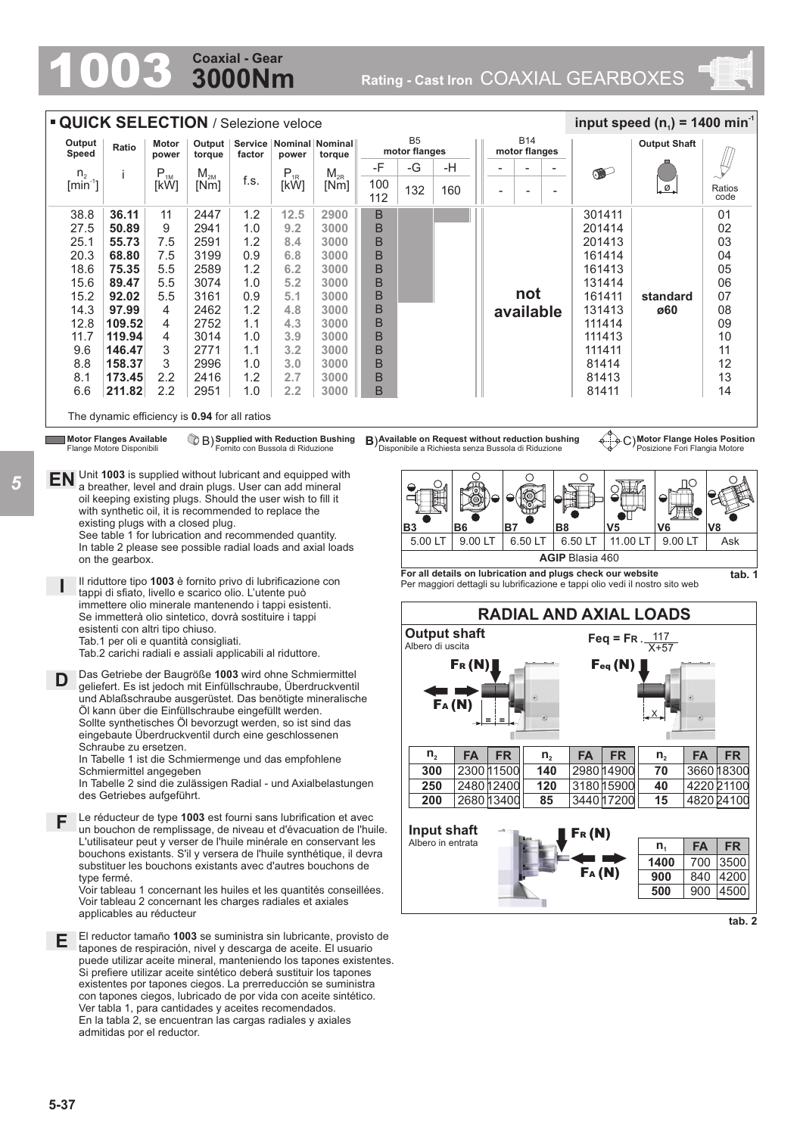## **3000Nm Coaxial - Gear**

1003 **Rating - Cast Iron** COAXIAL GEARBOXES





**5-37**

*5*